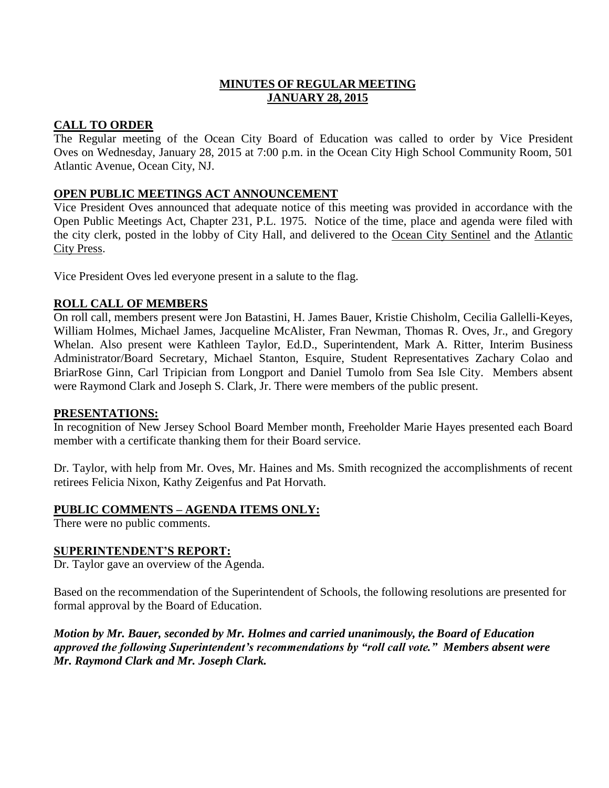# **MINUTES OF REGULAR MEETING JANUARY 28, 2015**

## **CALL TO ORDER**

The Regular meeting of the Ocean City Board of Education was called to order by Vice President Oves on Wednesday, January 28, 2015 at 7:00 p.m. in the Ocean City High School Community Room, 501 Atlantic Avenue, Ocean City, NJ.

## **OPEN PUBLIC MEETINGS ACT ANNOUNCEMENT**

Vice President Oves announced that adequate notice of this meeting was provided in accordance with the Open Public Meetings Act, Chapter 231, P.L. 1975. Notice of the time, place and agenda were filed with the city clerk, posted in the lobby of City Hall, and delivered to the Ocean City Sentinel and the Atlantic City Press.

Vice President Oves led everyone present in a salute to the flag.

## **ROLL CALL OF MEMBERS**

On roll call, members present were Jon Batastini, H. James Bauer, Kristie Chisholm, Cecilia Gallelli-Keyes, William Holmes, Michael James, Jacqueline McAlister, Fran Newman, Thomas R. Oves, Jr., and Gregory Whelan. Also present were Kathleen Taylor, Ed.D., Superintendent, Mark A. Ritter, Interim Business Administrator/Board Secretary, Michael Stanton, Esquire, Student Representatives Zachary Colao and BriarRose Ginn, Carl Tripician from Longport and Daniel Tumolo from Sea Isle City. Members absent were Raymond Clark and Joseph S. Clark, Jr. There were members of the public present.

### **PRESENTATIONS:**

In recognition of New Jersey School Board Member month, Freeholder Marie Hayes presented each Board member with a certificate thanking them for their Board service.

Dr. Taylor, with help from Mr. Oves, Mr. Haines and Ms. Smith recognized the accomplishments of recent retirees Felicia Nixon, Kathy Zeigenfus and Pat Horvath.

### **PUBLIC COMMENTS – AGENDA ITEMS ONLY:**

There were no public comments.

### **SUPERINTENDENT'S REPORT:**

Dr. Taylor gave an overview of the Agenda.

Based on the recommendation of the Superintendent of Schools, the following resolutions are presented for formal approval by the Board of Education.

*Motion by Mr. Bauer, seconded by Mr. Holmes and carried unanimously, the Board of Education approved the following Superintendent's recommendations by "roll call vote." Members absent were Mr. Raymond Clark and Mr. Joseph Clark.*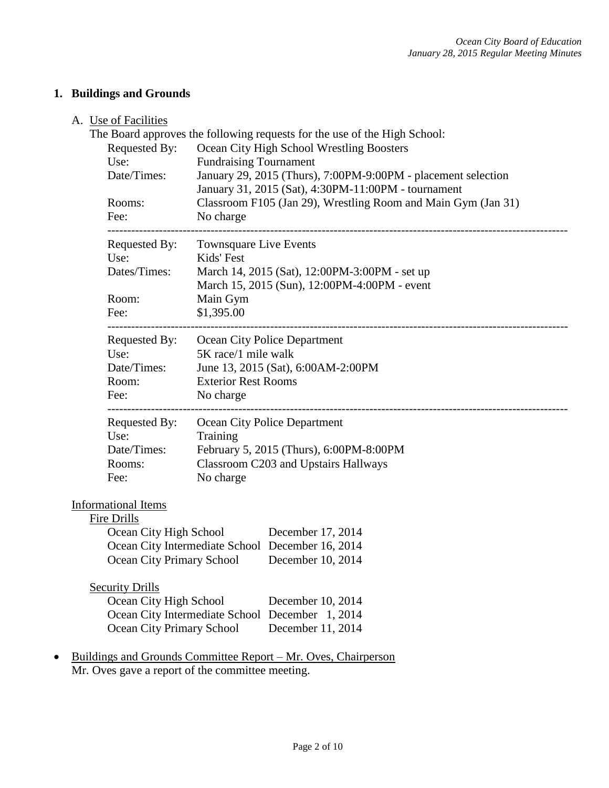# **1. Buildings and Grounds**

## A. Use of Facilities

|                             | $\sim$ $\sim$ $\sim$ $\sim$ $\sim$ $\sim$ $\sim$               | The Board approves the following requests for the use of the High School:                     |  |  |  |  |
|-----------------------------|----------------------------------------------------------------|-----------------------------------------------------------------------------------------------|--|--|--|--|
|                             | Requested By:                                                  | Ocean City High School Wrestling Boosters                                                     |  |  |  |  |
|                             | Use:                                                           | <b>Fundraising Tournament</b>                                                                 |  |  |  |  |
|                             | Date/Times:                                                    | January 29, 2015 (Thurs), 7:00PM-9:00PM - placement selection                                 |  |  |  |  |
|                             |                                                                | January 31, 2015 (Sat), 4:30PM-11:00PM - tournament                                           |  |  |  |  |
|                             | Rooms:                                                         | Classroom F105 (Jan 29), Wrestling Room and Main Gym (Jan 31)                                 |  |  |  |  |
|                             | Fee:                                                           | No charge<br>Townsquare Live Events                                                           |  |  |  |  |
|                             | Requested By:                                                  |                                                                                               |  |  |  |  |
|                             | Use:                                                           | Kids' Fest                                                                                    |  |  |  |  |
|                             | Dates/Times:                                                   | March 14, 2015 (Sat), 12:00PM-3:00PM - set up<br>March 15, 2015 (Sun), 12:00PM-4:00PM - event |  |  |  |  |
|                             | Room:                                                          | Main Gym                                                                                      |  |  |  |  |
|                             | Fee:                                                           | \$1,395.00                                                                                    |  |  |  |  |
|                             | Requested By:                                                  | Ocean City Police Department                                                                  |  |  |  |  |
| Use:<br>5K race/1 mile walk |                                                                |                                                                                               |  |  |  |  |
|                             | Date/Times:                                                    | June 13, 2015 (Sat), 6:00AM-2:00PM                                                            |  |  |  |  |
|                             | Room:                                                          | <b>Exterior Rest Rooms</b>                                                                    |  |  |  |  |
|                             | Fee:                                                           | No charge                                                                                     |  |  |  |  |
|                             | Requested By:                                                  | Ocean City Police Department                                                                  |  |  |  |  |
|                             | Use:                                                           | Training                                                                                      |  |  |  |  |
|                             | Date/Times:                                                    | February 5, 2015 (Thurs), 6:00PM-8:00PM                                                       |  |  |  |  |
|                             | Rooms:                                                         | Classroom C203 and Upstairs Hallways                                                          |  |  |  |  |
|                             | No charge<br>Fee:                                              |                                                                                               |  |  |  |  |
|                             | <b>Informational Items</b>                                     |                                                                                               |  |  |  |  |
|                             | <b>Fire Drills</b>                                             |                                                                                               |  |  |  |  |
|                             | Ocean City High School                                         | December 17, 2014                                                                             |  |  |  |  |
|                             |                                                                | Ocean City Intermediate School December 16, 2014                                              |  |  |  |  |
|                             | Ocean City Primary School                                      | December 10, 2014                                                                             |  |  |  |  |
|                             | <b>Security Drills</b>                                         |                                                                                               |  |  |  |  |
|                             | Ocean City High School                                         | December 10, 2014                                                                             |  |  |  |  |
|                             |                                                                | Ocean City Intermediate School December 1, 2014                                               |  |  |  |  |
|                             | <b>Ocean City Primary School</b><br>December 11, 2014          |                                                                                               |  |  |  |  |
|                             | Buildings and Grounds Committee Report – Mr. Oves, Chairperson |                                                                                               |  |  |  |  |
|                             | Mr. Oves gave a report of the committee meeting.               |                                                                                               |  |  |  |  |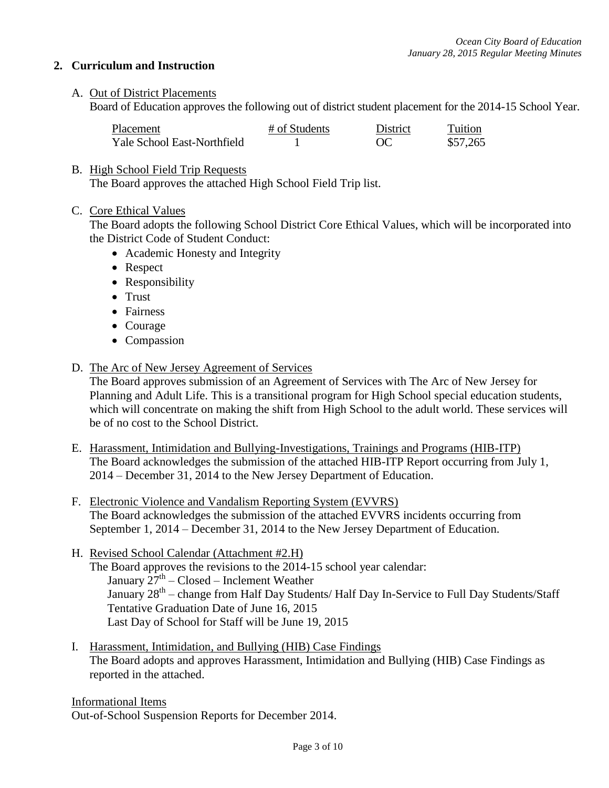### **2. Curriculum and Instruction**

A. Out of District Placements

Board of Education approves the following out of district student placement for the 2014-15 School Year.

| Placement                   | # of Students | District | Tuition  |
|-----------------------------|---------------|----------|----------|
| Yale School East-Northfield |               |          | \$57,265 |

### B. High School Field Trip Requests

The Board approves the attached High School Field Trip list.

C. Core Ethical Values

The Board adopts the following School District Core Ethical Values, which will be incorporated into the District Code of Student Conduct:

- Academic Honesty and Integrity
- Respect
- Responsibility
- Trust
- Fairness
- Courage
- Compassion
- D. The Arc of New Jersey Agreement of Services

The Board approves submission of an Agreement of Services with The Arc of New Jersey for Planning and Adult Life. This is a transitional program for High School special education students, which will concentrate on making the shift from High School to the adult world. These services will be of no cost to the School District.

- E. Harassment, Intimidation and Bullying-Investigations, Trainings and Programs (HIB-ITP) The Board acknowledges the submission of the attached HIB-ITP Report occurring from July 1, 2014 – December 31, 2014 to the New Jersey Department of Education.
- F. Electronic Violence and Vandalism Reporting System (EVVRS) The Board acknowledges the submission of the attached EVVRS incidents occurring from September 1, 2014 – December 31, 2014 to the New Jersey Department of Education.
- H. Revised School Calendar (Attachment #2.H) The Board approves the revisions to the 2014-15 school year calendar: January  $27^{\text{th}}$  – Closed – Inclement Weather January 28<sup>th</sup> – change from Half Day Students/ Half Day In-Service to Full Day Students/Staff Tentative Graduation Date of June 16, 2015 Last Day of School for Staff will be June 19, 2015
- I. Harassment, Intimidation, and Bullying (HIB) Case Findings The Board adopts and approves Harassment, Intimidation and Bullying (HIB) Case Findings as reported in the attached.

Informational Items Out-of-School Suspension Reports for December 2014.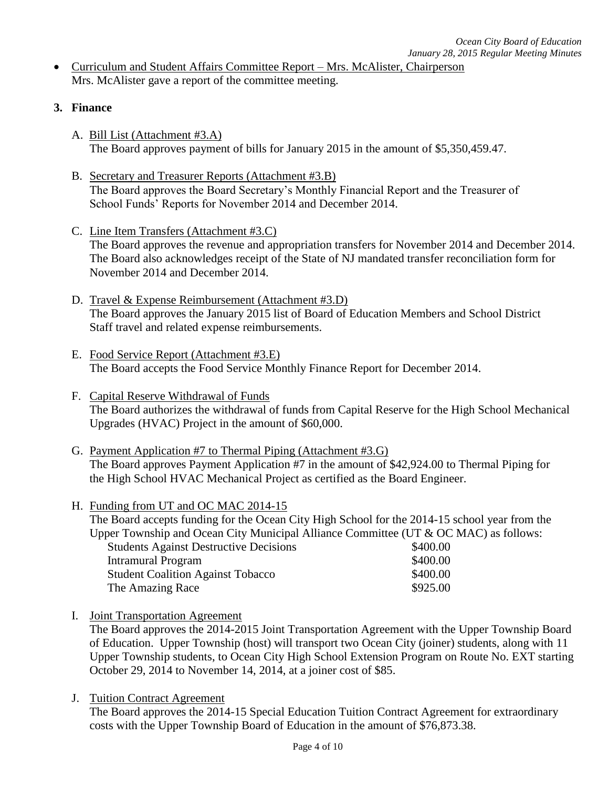- Curriculum and Student Affairs Committee Report Mrs. McAlister, Chairperson Mrs. McAlister gave a report of the committee meeting.
- **3. Finance**
	- A. Bill List (Attachment #3.A) The Board approves payment of bills for January 2015 in the amount of \$5,350,459.47.
	- B. Secretary and Treasurer Reports (Attachment #3.B) The Board approves the Board Secretary's Monthly Financial Report and the Treasurer of School Funds' Reports for November 2014 and December 2014.
	- C. Line Item Transfers (Attachment #3.C) The Board approves the revenue and appropriation transfers for November 2014 and December 2014. The Board also acknowledges receipt of the State of NJ mandated transfer reconciliation form for November 2014 and December 2014.
	- D. Travel & Expense Reimbursement (Attachment #3.D) The Board approves the January 2015 list of Board of Education Members and School District Staff travel and related expense reimbursements.
	- E. Food Service Report (Attachment #3.E) The Board accepts the Food Service Monthly Finance Report for December 2014.
	- F. Capital Reserve Withdrawal of Funds The Board authorizes the withdrawal of funds from Capital Reserve for the High School Mechanical Upgrades (HVAC) Project in the amount of \$60,000.
	- G. Payment Application #7 to Thermal Piping (Attachment #3.G) The Board approves Payment Application #7 in the amount of \$42,924.00 to Thermal Piping for the High School HVAC Mechanical Project as certified as the Board Engineer.
	- H. Funding from UT and OC MAC 2014-15

The Board accepts funding for the Ocean City High School for the 2014-15 school year from the Upper Township and Ocean City Municipal Alliance Committee (UT & OC MAC) as follows: Students Against Destructive Decisions  $$400.00$ Intramural Program  $$400.00$ Student Coalition Against Tobacco  $$400.00$ The Amazing Race \$925.00

I. Joint Transportation Agreement

The Board approves the 2014-2015 Joint Transportation Agreement with the Upper Township Board of Education. Upper Township (host) will transport two Ocean City (joiner) students, along with 11 Upper Township students, to Ocean City High School Extension Program on Route No. EXT starting October 29, 2014 to November 14, 2014, at a joiner cost of \$85.

J. Tuition Contract Agreement

The Board approves the 2014-15 Special Education Tuition Contract Agreement for extraordinary costs with the Upper Township Board of Education in the amount of \$76,873.38.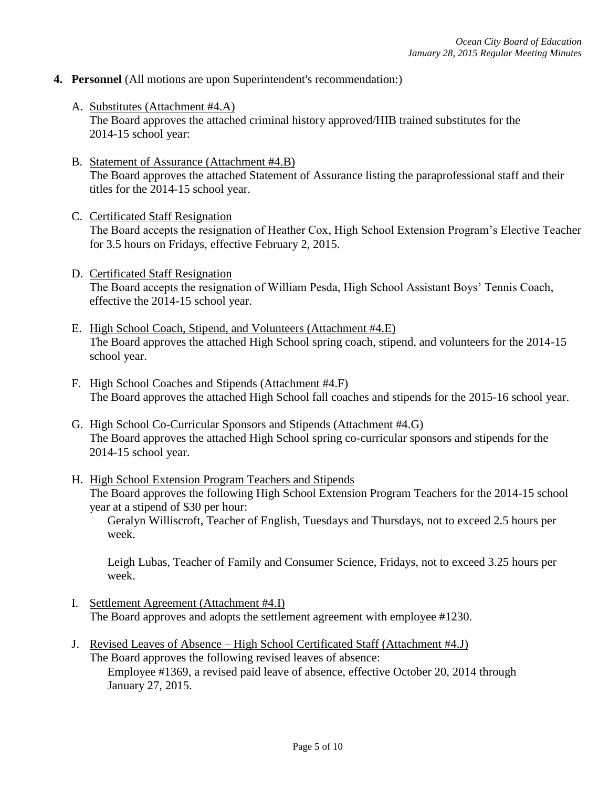- **4. Personnel** (All motions are upon Superintendent's recommendation:)
	- A. Substitutes (Attachment #4.A) The Board approves the attached criminal history approved/HIB trained substitutes for the 2014-15 school year:
	- B. Statement of Assurance (Attachment #4.B) The Board approves the attached Statement of Assurance listing the paraprofessional staff and their titles for the 2014-15 school year.
	- C. Certificated Staff Resignation The Board accepts the resignation of Heather Cox, High School Extension Program's Elective Teacher for 3.5 hours on Fridays, effective February 2, 2015.
	- D. Certificated Staff Resignation The Board accepts the resignation of William Pesda, High School Assistant Boys' Tennis Coach, effective the 2014-15 school year.
	- E. High School Coach, Stipend, and Volunteers (Attachment #4.E) The Board approves the attached High School spring coach, stipend, and volunteers for the 2014-15 school year.
	- F. High School Coaches and Stipends (Attachment #4.F) The Board approves the attached High School fall coaches and stipends for the 2015-16 school year.
	- G. High School Co-Curricular Sponsors and Stipends (Attachment #4.G) The Board approves the attached High School spring co-curricular sponsors and stipends for the 2014-15 school year.
	- H. High School Extension Program Teachers and Stipends The Board approves the following High School Extension Program Teachers for the 2014-15 school year at a stipend of \$30 per hour:

Geralyn Williscroft, Teacher of English, Tuesdays and Thursdays, not to exceed 2.5 hours per week.

Leigh Lubas, Teacher of Family and Consumer Science, Fridays, not to exceed 3.25 hours per week.

- I. Settlement Agreement (Attachment #4.I) The Board approves and adopts the settlement agreement with employee #1230.
- J. Revised Leaves of Absence High School Certificated Staff (Attachment #4.J) The Board approves the following revised leaves of absence: Employee #1369, a revised paid leave of absence, effective October 20, 2014 through January 27, 2015.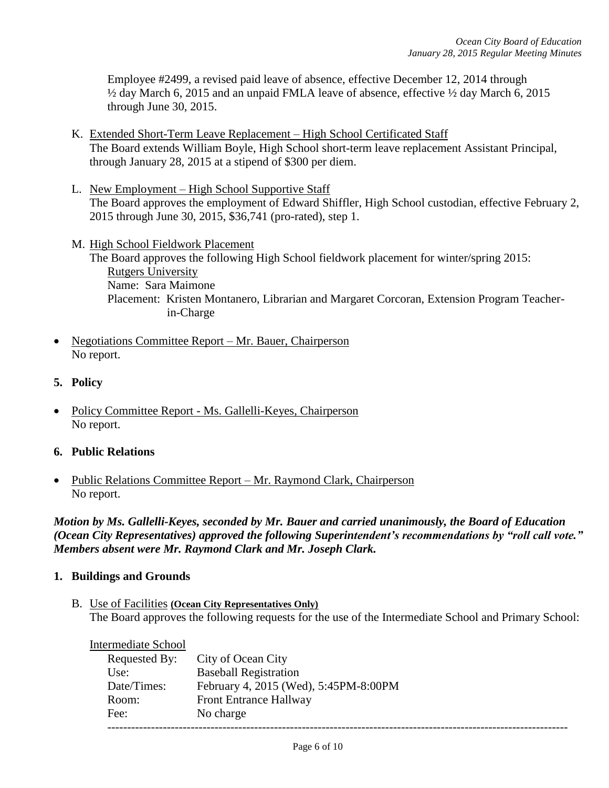Employee #2499, a revised paid leave of absence, effective December 12, 2014 through ½ day March 6, 2015 and an unpaid FMLA leave of absence, effective ½ day March 6, 2015 through June 30, 2015.

- K. Extended Short-Term Leave Replacement High School Certificated Staff The Board extends William Boyle, High School short-term leave replacement Assistant Principal, through January 28, 2015 at a stipend of \$300 per diem.
- L. New Employment High School Supportive Staff The Board approves the employment of Edward Shiffler, High School custodian, effective February 2, 2015 through June 30, 2015, \$36,741 (pro-rated), step 1.
- M. High School Fieldwork Placement The Board approves the following High School fieldwork placement for winter/spring 2015: Rutgers University Name: Sara Maimone Placement: Kristen Montanero, Librarian and Margaret Corcoran, Extension Program Teacher in-Charge
- Negotiations Committee Report Mr. Bauer, Chairperson No report.
- **5. Policy**
- Policy Committee Report Ms. Gallelli-Keyes, Chairperson No report.
- **6. Public Relations**
- Public Relations Committee Report Mr. Raymond Clark, Chairperson No report.

*Motion by Ms. Gallelli-Keyes, seconded by Mr. Bauer and carried unanimously, the Board of Education (Ocean City Representatives) approved the following Superintendent's recommendations by "roll call vote." Members absent were Mr. Raymond Clark and Mr. Joseph Clark.*

### **1. Buildings and Grounds**

B. Use of Facilities **(Ocean City Representatives Only)** The Board approves the following requests for the use of the Intermediate School and Primary School:

| <b>Intermediate School</b> |                                       |
|----------------------------|---------------------------------------|
| Requested By:              | City of Ocean City                    |
| Use:                       | <b>Baseball Registration</b>          |
| Date/Times:                | February 4, 2015 (Wed), 5:45PM-8:00PM |
| Room:                      | <b>Front Entrance Hallway</b>         |
| Fee:                       | No charge                             |
|                            |                                       |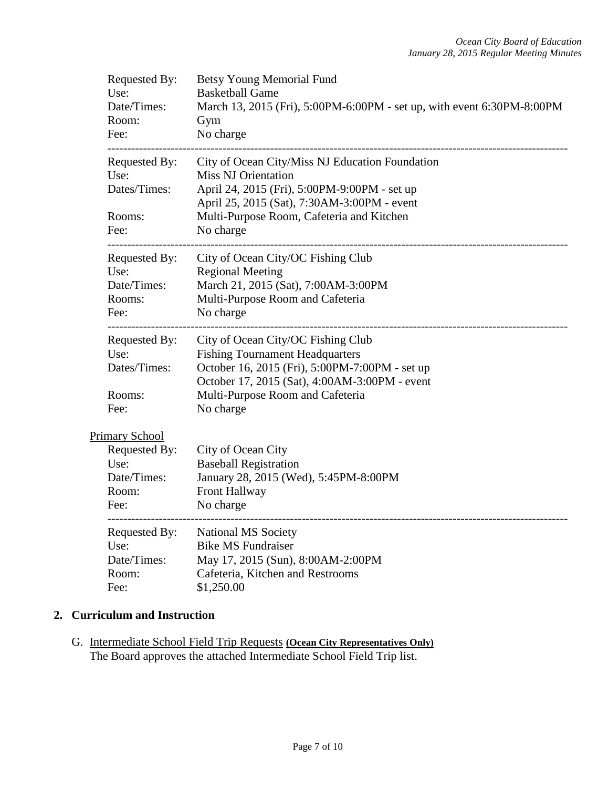| Requested By:<br>Use:<br>Date/Times:<br>Room:<br>Fee:                   | <b>Betsy Young Memorial Fund</b><br><b>Basketball Game</b><br>March 13, 2015 (Fri), 5:00PM-6:00PM - set up, with event 6:30PM-8:00PM<br>Gym<br>No charge                                                                               |  |  |  |  |
|-------------------------------------------------------------------------|----------------------------------------------------------------------------------------------------------------------------------------------------------------------------------------------------------------------------------------|--|--|--|--|
| Requested By:<br>Use:<br>Dates/Times:<br>Rooms:<br>Fee:                 | City of Ocean City/Miss NJ Education Foundation<br><b>Miss NJ Orientation</b><br>April 24, 2015 (Fri), 5:00PM-9:00PM - set up<br>April 25, 2015 (Sat), 7:30AM-3:00PM - event<br>Multi-Purpose Room, Cafeteria and Kitchen<br>No charge |  |  |  |  |
| Requested By:<br>Use:<br>Date/Times:<br>Rooms:<br>Fee:                  | City of Ocean City/OC Fishing Club<br><b>Regional Meeting</b><br>March 21, 2015 (Sat), 7:00AM-3:00PM<br>Multi-Purpose Room and Cafeteria<br>No charge                                                                                  |  |  |  |  |
| Requested By:<br>Use:<br>Dates/Times:<br>Rooms:<br>Fee:                 | City of Ocean City/OC Fishing Club<br><b>Fishing Tournament Headquarters</b><br>October 16, 2015 (Fri), 5:00PM-7:00PM - set up<br>October 17, 2015 (Sat), 4:00AM-3:00PM - event<br>Multi-Purpose Room and Cafeteria<br>No charge       |  |  |  |  |
| Primary School<br>Requested By:<br>Use:<br>Date/Times:<br>Room:<br>Fee: | City of Ocean City<br><b>Baseball Registration</b><br>January 28, 2015 (Wed), 5:45PM-8:00PM<br>Front Hallway<br>No charge                                                                                                              |  |  |  |  |
| Requested By:<br>Use:<br>Date/Times:<br>Room:<br>Fee:                   | <b>National MS Society</b><br><b>Bike MS Fundraiser</b><br>May 17, 2015 (Sun), 8:00AM-2:00PM<br>Cafeteria, Kitchen and Restrooms<br>\$1,250.00                                                                                         |  |  |  |  |

# **2. Curriculum and Instruction**

G. Intermediate School Field Trip Requests **(Ocean City Representatives Only)** The Board approves the attached Intermediate School Field Trip list.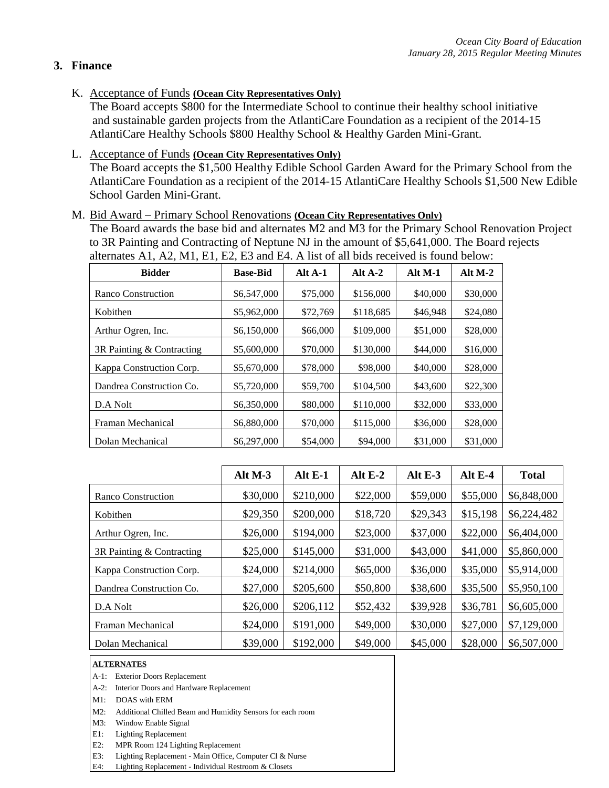# **3. Finance**

K. Acceptance of Funds **(Ocean City Representatives Only)**

The Board accepts \$800 for the Intermediate School to continue their healthy school initiative and sustainable garden projects from the AtlantiCare Foundation as a recipient of the 2014-15 AtlantiCare Healthy Schools \$800 Healthy School & Healthy Garden Mini-Grant.

L. Acceptance of Funds **(Ocean City Representatives Only)**

The Board accepts the \$1,500 Healthy Edible School Garden Award for the Primary School from the AtlantiCare Foundation as a recipient of the 2014-15 AtlantiCare Healthy Schools \$1,500 New Edible School Garden Mini-Grant.

### M. Bid Award – Primary School Renovations **(Ocean City Representatives Only)**

The Board awards the base bid and alternates M2 and M3 for the Primary School Renovation Project to 3R Painting and Contracting of Neptune NJ in the amount of \$5,641,000. The Board rejects alternates A1, A2, M1, E1, E2, E3 and E4. A list of all bids received is found below:

| <b>Bidder</b>             | <b>Base-Bid</b> | Alt $A-1$ | Alt $A-2$ | Alt $M-1$ | Alt $M-2$ |
|---------------------------|-----------------|-----------|-----------|-----------|-----------|
| Ranco Construction        | \$6,547,000     | \$75,000  | \$156,000 | \$40,000  | \$30,000  |
| Kobithen                  | \$5,962,000     | \$72,769  | \$118,685 | \$46,948  | \$24,080  |
| Arthur Ogren, Inc.        | \$6,150,000     | \$66,000  | \$109,000 | \$51,000  | \$28,000  |
| 3R Painting & Contracting | \$5,600,000     | \$70,000  | \$130,000 | \$44,000  | \$16,000  |
| Kappa Construction Corp.  | \$5,670,000     | \$78,000  | \$98,000  | \$40,000  | \$28,000  |
| Dandrea Construction Co.  | \$5,720,000     | \$59,700  | \$104,500 | \$43,600  | \$22,300  |
| D.A Nolt                  | \$6,350,000     | \$80,000  | \$110,000 | \$32,000  | \$33,000  |
| Framan Mechanical         | \$6,880,000     | \$70,000  | \$115,000 | \$36,000  | \$28,000  |
| Dolan Mechanical          | \$6,297,000     | \$54,000  | \$94,000  | \$31,000  | \$31,000  |

|                           | Alt M-3  | Alt E-1   | Alt $E-2$ | Alt $E-3$ | Alt $E-4$ | <b>Total</b> |
|---------------------------|----------|-----------|-----------|-----------|-----------|--------------|
| Ranco Construction        | \$30,000 | \$210,000 | \$22,000  | \$59,000  | \$55,000  | \$6,848,000  |
| Kobithen                  | \$29,350 | \$200,000 | \$18,720  | \$29,343  | \$15,198  | \$6,224,482  |
| Arthur Ogren, Inc.        | \$26,000 | \$194,000 | \$23,000  | \$37,000  | \$22,000  | \$6,404,000  |
| 3R Painting & Contracting | \$25,000 | \$145,000 | \$31,000  | \$43,000  | \$41,000  | \$5,860,000  |
| Kappa Construction Corp.  | \$24,000 | \$214,000 | \$65,000  | \$36,000  | \$35,000  | \$5,914,000  |
| Dandrea Construction Co.  | \$27,000 | \$205,600 | \$50,800  | \$38,600  | \$35,500  | \$5,950,100  |
| D.A Nolt                  | \$26,000 | \$206,112 | \$52,432  | \$39,928  | \$36,781  | \$6,605,000  |
| Framan Mechanical         | \$24,000 | \$191,000 | \$49,000  | \$30,000  | \$27,000  | \$7,129,000  |
| Dolan Mechanical          | \$39,000 | \$192,000 | \$49,000  | \$45,000  | \$28,000  | \$6,507,000  |

#### **ALTERNATES**

- A-1: Exterior Doors Replacement
- A-2: Interior Doors and Hardware Replacement
- M1: DOAS with ERM
- M2: Additional Chilled Beam and Humidity Sensors for each room
- M3: Window Enable Signal
- E1: Lighting Replacement
- E2: MPR Room 124 Lighting Replacement
- E3: Lighting Replacement Main Office, Computer Cl & Nurse

E4: Lighting Replacement - Individual Restroom & Closets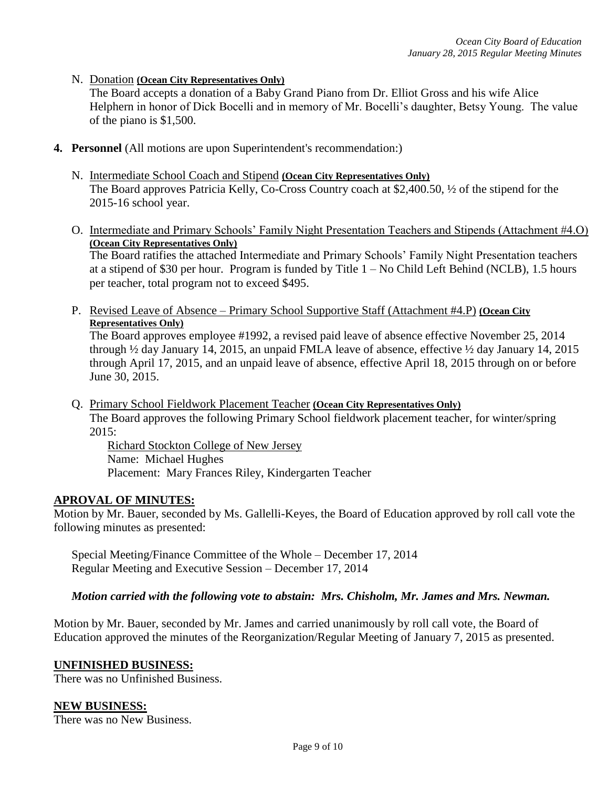N. Donation **(Ocean City Representatives Only)**

The Board accepts a donation of a Baby Grand Piano from Dr. Elliot Gross and his wife Alice Helphern in honor of Dick Bocelli and in memory of Mr. Bocelli's daughter, Betsy Young. The value of the piano is \$1,500.

- **4. Personnel** (All motions are upon Superintendent's recommendation:)
	- N. Intermediate School Coach and Stipend **(Ocean City Representatives Only)** The Board approves Patricia Kelly, Co-Cross Country coach at \$2,400.50, ½ of the stipend for the 2015-16 school year.
	- O. Intermediate and Primary Schools' Family Night Presentation Teachers and Stipends (Attachment #4.O) **(Ocean City Representatives Only)** The Board ratifies the attached Intermediate and Primary Schools' Family Night Presentation teachers at a stipend of \$30 per hour. Program is funded by Title 1 – No Child Left Behind (NCLB), 1.5 hours per teacher, total program not to exceed \$495.
	- P. Revised Leave of Absence Primary School Supportive Staff (Attachment #4.P) **(Ocean City Representatives Only)**

The Board approves employee #1992, a revised paid leave of absence effective November 25, 2014 through ½ day January 14, 2015, an unpaid FMLA leave of absence, effective ½ day January 14, 2015 through April 17, 2015, and an unpaid leave of absence, effective April 18, 2015 through on or before June 30, 2015.

Q. Primary School Fieldwork Placement Teacher **(Ocean City Representatives Only)** The Board approves the following Primary School fieldwork placement teacher, for winter/spring 2015:

Richard Stockton College of New Jersey Name: Michael Hughes Placement: Mary Frances Riley, Kindergarten Teacher

### **APROVAL OF MINUTES:**

Motion by Mr. Bauer, seconded by Ms. Gallelli-Keyes, the Board of Education approved by roll call vote the following minutes as presented:

Special Meeting/Finance Committee of the Whole – December 17, 2014 Regular Meeting and Executive Session – December 17, 2014

*Motion carried with the following vote to abstain: Mrs. Chisholm, Mr. James and Mrs. Newman.*

Motion by Mr. Bauer, seconded by Mr. James and carried unanimously by roll call vote, the Board of Education approved the minutes of the Reorganization/Regular Meeting of January 7, 2015 as presented.

### **UNFINISHED BUSINESS:**

There was no Unfinished Business.

#### **NEW BUSINESS:**

There was no New Business.